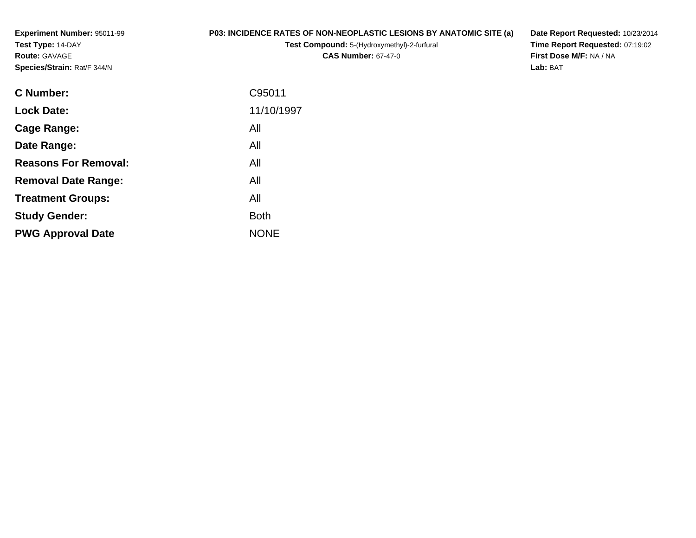**Experiment Number:** 95011-99**Test Type:** 14-DAY**Route:** GAVAGE**Species/Strain:** Rat/F 344/N

## **P03: INCIDENCE RATES OF NON-NEOPLASTIC LESIONS BY ANATOMIC SITE (a)**

**Test Compound:** 5-(Hydroxymethyl)-2-furfural **CAS Number:** 67-47-0

**Date Report Requested:** 10/23/2014 **Time Report Requested:** 07:19:02**First Dose M/F:** NA / NA**Lab:** BAT

| <b>Lock Date:</b>                  | 11/10/1997  |
|------------------------------------|-------------|
| All<br>Cage Range:                 |             |
| All<br>Date Range:                 |             |
| <b>Reasons For Removal:</b><br>All |             |
| All<br><b>Removal Date Range:</b>  |             |
| All<br><b>Treatment Groups:</b>    |             |
| <b>Study Gender:</b>               | <b>Both</b> |
| <b>PWG Approval Date</b>           | <b>NONE</b> |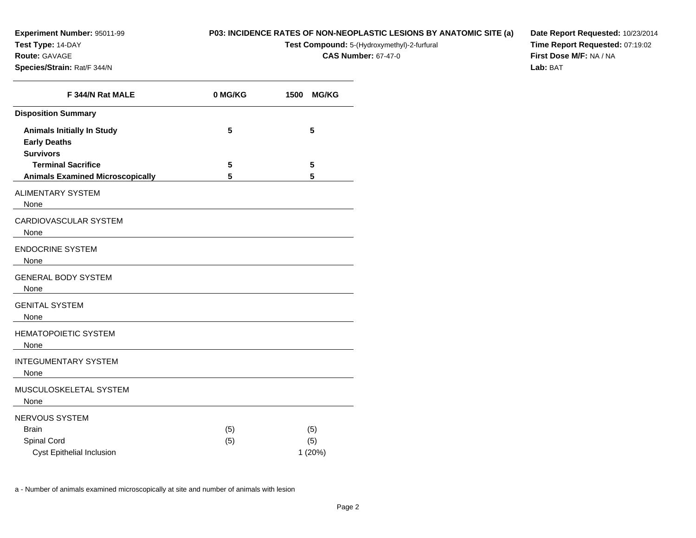**Test Type:** 14-DAY

**Route:** GAVAGE

**Species/Strain:** Rat/F 344/N

## **P03: INCIDENCE RATES OF NON-NEOPLASTIC LESIONS BY ANATOMIC SITE (a)**

**Test Compound:** 5-(Hydroxymethyl)-2-furfural

**CAS Number:** 67-47-0

**Date Report Requested:** 10/23/2014**Time Report Requested:** 07:19:02**First Dose M/F:** NA / NA**Lab:** BAT

| F 344/N Rat MALE                                                                    | 0 MG/KG | 1500<br><b>MG/KG</b> |
|-------------------------------------------------------------------------------------|---------|----------------------|
| <b>Disposition Summary</b>                                                          |         |                      |
| <b>Animals Initially In Study</b><br><b>Early Deaths</b><br><b>Survivors</b>        | 5       | 5                    |
| <b>Terminal Sacrifice</b>                                                           | 5       | 5                    |
| <b>Animals Examined Microscopically</b>                                             | 5       | 5                    |
| <b>ALIMENTARY SYSTEM</b><br>None                                                    |         |                      |
| <b>CARDIOVASCULAR SYSTEM</b><br>None<br><u> 1980 - Jan Samuel Barbara, martin a</u> |         |                      |
| <b>ENDOCRINE SYSTEM</b><br>None                                                     |         |                      |
| <b>GENERAL BODY SYSTEM</b><br>None                                                  |         |                      |
| <b>GENITAL SYSTEM</b><br>None                                                       |         |                      |
| <b>HEMATOPOIETIC SYSTEM</b><br>None                                                 |         |                      |
| <b>INTEGUMENTARY SYSTEM</b><br>None                                                 |         |                      |
| MUSCULOSKELETAL SYSTEM<br>None                                                      |         |                      |
| NERVOUS SYSTEM                                                                      |         |                      |
| <b>Brain</b>                                                                        | (5)     | (5)                  |
| Spinal Cord                                                                         | (5)     | (5)                  |
| <b>Cyst Epithelial Inclusion</b>                                                    |         | 1(20%)               |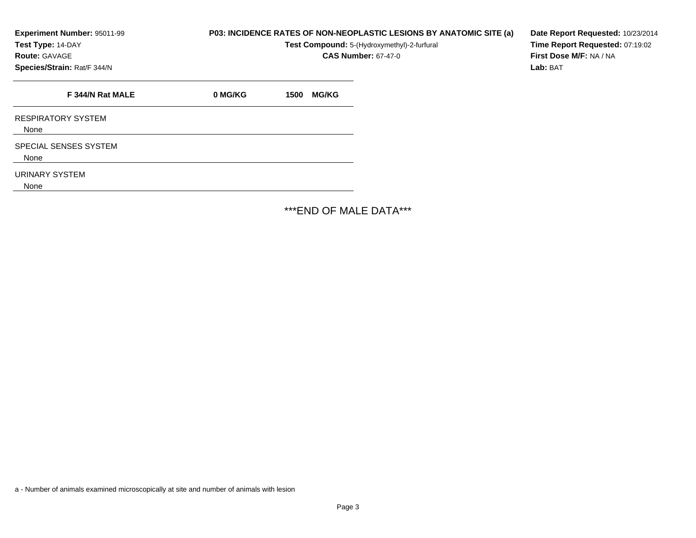**Test Type:** 14-DAY

**Route:** GAVAGE

**Species/Strain:** Rat/F 344/N

**P03: INCIDENCE RATES OF NON-NEOPLASTIC LESIONS BY ANATOMIC SITE (a)**

**Test Compound:** 5-(Hydroxymethyl)-2-furfural

**CAS Number:** 67-47-0

**Date Report Requested:** 10/23/2014**Time Report Requested:** 07:19:02**First Dose M/F:** NA / NA**Lab:** BAT

**F 344/N Rat MALE 0 MG/KG 1500 MG/KG** RESPIRATORY SYSTEMNoneSPECIAL SENSES SYSTEMNoneURINARY SYSTEMNone\*\*\*END OF MALE DATA\*\*\*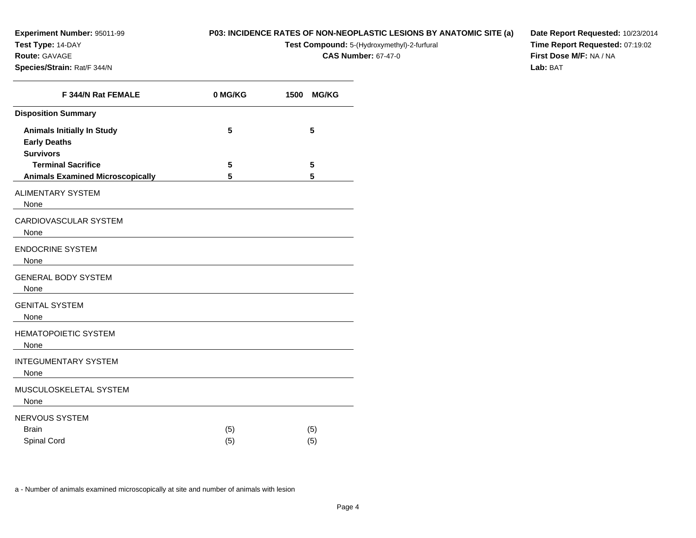**Test Type:** 14-DAY

**Route:** GAVAGE

**Species/Strain:** Rat/F 344/N

**P03: INCIDENCE RATES OF NON-NEOPLASTIC LESIONS BY ANATOMIC SITE (a)**

**Test Compound:** 5-(Hydroxymethyl)-2-furfural

**CAS Number:** 67-47-0

**Date Report Requested:** 10/23/2014**Time Report Requested:** 07:19:02**First Dose M/F:** NA / NA**Lab:** BAT

| F 344/N Rat FEMALE                                                                                                                                          | 0 MG/KG    | 1500<br><b>MG/KG</b> |
|-------------------------------------------------------------------------------------------------------------------------------------------------------------|------------|----------------------|
| <b>Disposition Summary</b>                                                                                                                                  |            |                      |
| <b>Animals Initially In Study</b><br><b>Early Deaths</b><br><b>Survivors</b>                                                                                | 5          | 5                    |
| <b>Terminal Sacrifice</b>                                                                                                                                   | 5          | 5                    |
| <b>Animals Examined Microscopically</b>                                                                                                                     | 5          | 5                    |
| <b>ALIMENTARY SYSTEM</b><br>None                                                                                                                            |            |                      |
| CARDIOVASCULAR SYSTEM<br>None                                                                                                                               |            |                      |
| <b>ENDOCRINE SYSTEM</b><br>None<br><u> 1980 - Jan Stein Harry Harry Harry Harry Harry Harry Harry Harry Harry Harry Harry Harry Harry Harry Harry</u>       |            |                      |
| <b>GENERAL BODY SYSTEM</b><br>None<br><u> 1989 - John Stein, amerikansk politiker (</u>                                                                     |            |                      |
| <b>GENITAL SYSTEM</b><br>None                                                                                                                               |            |                      |
| <b>HEMATOPOIETIC SYSTEM</b><br>None<br><u> 1980 - Jan Samuel Barbara, margaret e populari e populari e populari e populari e populari e populari e popu</u> |            |                      |
| <b>INTEGUMENTARY SYSTEM</b><br>None                                                                                                                         |            |                      |
| MUSCULOSKELETAL SYSTEM<br>None                                                                                                                              |            |                      |
| <b>NERVOUS SYSTEM</b><br><b>Brain</b><br>Spinal Cord                                                                                                        | (5)<br>(5) | (5)<br>(5)           |